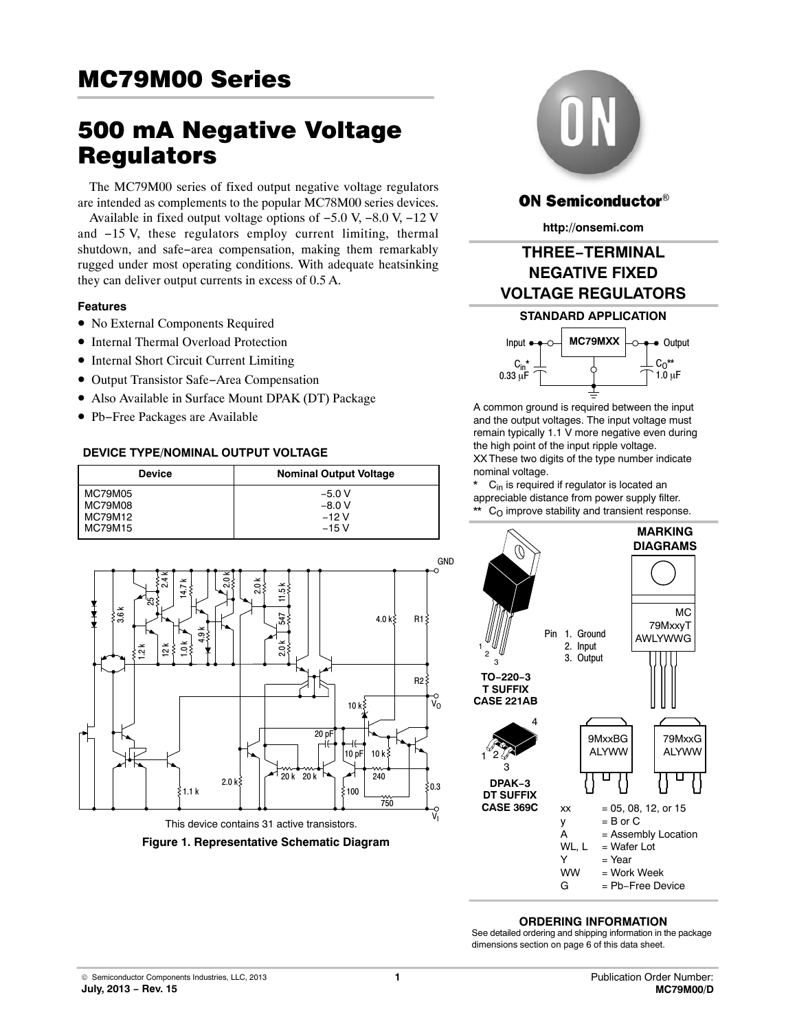# **MC79M00 Series** <u>MCRAND Series (Series Series Series Series Series Series Series Series Series Series Series Series Series Series S</u>

# 500 mA Negative Voltage

The MC79M00 series of fixed output negative voltage regulators are intended as complements to the popular MC78M00 series devices.

Available in fixed output voltage options of −5.0 V, −8.0 V, −12 V and −15 V, these regulators employ current limiting, thermal shutdown, and safe−area compensation, making them remarkably rugged under most operating conditions. With adequate heatsinking they can deliver output currents in excess of 0.5 A.

#### **Features**

- No External Components Required
- Internal Thermal Overload Protection
- Internal Short Circuit Current Limiting
- Output Transistor Safe−Area Compensation
- Also Available in Surface Mount DPAK (DT) Package
- Pb−Free Packages are Available

#### **DEVICE TYPE/NOMINAL OUTPUT VOLTAGE**

| <b>Device</b>  | <b>Nominal Output Voltage</b> |
|----------------|-------------------------------|
| MC79M05        | $-5.0V$                       |
| <b>MC79M08</b> | $-8.0 V$                      |
| MC79M12        | $-12V$                        |
| <b>MC79M15</b> | $-15V$                        |



**Figure 1. Representative Schematic Diagram**



## **ON Semiconductor®**

**http://onsemi.com**

## **THREE−TERMINAL NEGATIVE FIXED VOLTAGE REGULATORS**





A common ground is required between the input and the output voltages. The input voltage must remain typically 1.1 V more negative even during the high point of the input ripple voltage. XX These two digits of the type number indicate nominal voltage.

 $C_{in}$  is required if regulator is located an appreciable distance from power supply filter.  $*$  C<sub>O</sub> improve stability and transient response.



#### **ORDERING INFORMATION**

See detailed ordering and shipping information in the package dimensions section on page [6](#page-5-0) of this data sheet.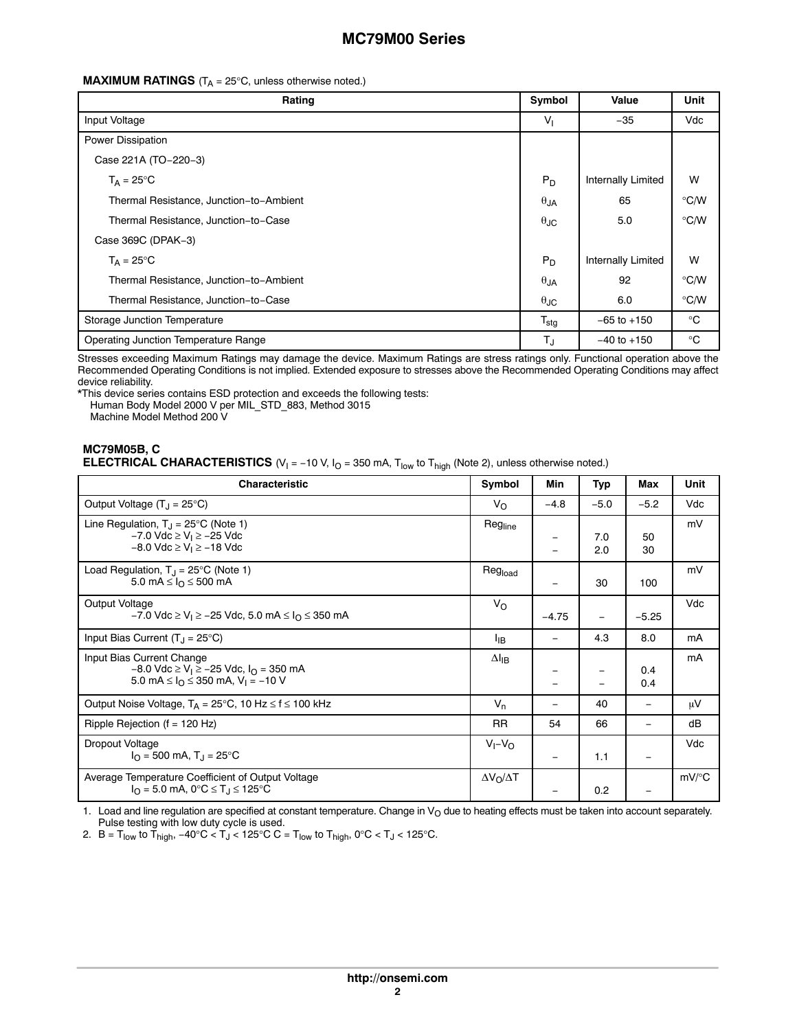#### **MAXIMUM RATINGS**  $(T_A = 25^{\circ}C$ , unless otherwise noted.)

| Rating                                  | Symbol           | Value                     | <b>Unit</b>   |
|-----------------------------------------|------------------|---------------------------|---------------|
| Input Voltage                           | V <sub>1</sub>   | $-35$                     | Vdc           |
| Power Dissipation                       |                  |                           |               |
| Case 221A (TO-220-3)                    |                  |                           |               |
| $T_A = 25^{\circ}C$                     | $P_D$            | <b>Internally Limited</b> | W             |
| Thermal Resistance, Junction-to-Ambient | $\theta$ JA      | 65                        | $\degree$ C/W |
| Thermal Resistance, Junction-to-Case    | $\theta$ JC      | 5.0                       | $\degree$ C/W |
| Case 369C (DPAK-3)                      |                  |                           |               |
| $T_A = 25^{\circ}C$                     | $P_D$            | <b>Internally Limited</b> | W             |
| Thermal Resistance, Junction-to-Ambient |                  | 92                        | $\degree$ C/W |
| Thermal Resistance, Junction-to-Case    | $\theta$ JC      | 6.0                       | $\degree$ C/W |
| Storage Junction Temperature            | $T_{\text{stg}}$ | $-65$ to $+150$           | $^{\circ}C$   |
| Operating Junction Temperature Range    | $T_{\text{J}}$   | $-40$ to $+150$           | $^{\circ}C$   |

Stresses exceeding Maximum Ratings may damage the device. Maximum Ratings are stress ratings only. Functional operation above the Recommended Operating Conditions is not implied. Extended exposure to stresses above the Recommended Operating Conditions may affect device reliability.

\*This device series contains ESD protection and exceeds the following tests: Human Body Model 2000 V per MIL\_STD\_883, Method 3015

Machine Model Method 200 V

### **MC79M05B, C ELECTRICAL CHARACTERISTICS**  $(V_1 = -10 V, I_0 = 350 mA, T_{low}$  to  $T_{high}$  (Note 2), unless otherwise noted.)

| <b>Characteristic</b>                                                                                                                                                   | Symbol                | Min                      | Typ        | Max                      | Unit     |
|-------------------------------------------------------------------------------------------------------------------------------------------------------------------------|-----------------------|--------------------------|------------|--------------------------|----------|
| Output Voltage $(T_1 = 25^{\circ}C)$                                                                                                                                    | $V_{\Omega}$          | $-4.8$                   | $-5.0$     | $-5.2$                   | Vdc      |
| Line Regulation, $T_{J}$ = 25°C (Note 1)<br>$-7.0$ Vdc $\geq$ V <sub>1</sub> $\geq$ -25 Vdc<br>$-8.0$ Vdc $\geq$ V <sub>1</sub> $\geq$ -18 Vdc                          | Regline               | -                        | 7.0<br>2.0 | 50<br>30                 | mV       |
| Load Regulation, $T_J = 25^{\circ}C$ (Note 1)<br>5.0 mA $\leq$ $I_{O}$ $\leq$ 500 mA                                                                                    | Reg <sub>load</sub>   |                          | 30         | 100                      | mV       |
| Output Voltage<br>$-7.0$ Vdc ≥ V <sub>I</sub> ≥ $-25$ Vdc, 5.0 mA ≤ I <sub>O</sub> ≤ 350 mA                                                                             | $V_{\Omega}$          | $-4.75$                  |            | $-5.25$                  | Vdc      |
| Input Bias Current $(T_1 = 25^{\circ}C)$                                                                                                                                | ŀв                    | -                        | 4.3        | 8.0                      | mA       |
| Input Bias Current Change<br>$-8.0$ Vdc $\geq$ V <sub>1</sub> $\geq$ -25 Vdc, $I_{\Omega}$ = 350 mA<br>5.0 mA $\leq$ $I_{\Omega}$ $\leq$ 350 mA, V <sub>I</sub> = -10 V | $\Delta I_{IB}$       |                          | -          | 0.4<br>0.4               | mA       |
| Output Noise Voltage, $T_A = 25^{\circ}C$ , 10 Hz $\leq f \leq 100$ kHz                                                                                                 | $V_n$                 |                          | 40         |                          | μV       |
| Ripple Rejection ( $f = 120$ Hz)                                                                                                                                        |                       | 54                       | 66         |                          | dB       |
| Dropout Voltage<br>$I_{\Omega}$ = 500 mA, T <sub>J</sub> = 25 <sup>o</sup> C                                                                                            | $V_I - V_O$           | $\overline{\phantom{m}}$ | 1.1        | $\overline{\phantom{m}}$ | Vdc      |
| Average Temperature Coefficient of Output Voltage<br>$I_{\Omega}$ = 5.0 mA, 0°C $\leq$ T <sub>J</sub> $\leq$ 125°C                                                      | $\Delta V_O/\Delta T$ |                          | 0.2        |                          | $mV$ /°C |

1. Load and line regulation are specified at constant temperature. Change in  $V<sub>O</sub>$  due to heating effects must be taken into account separately. Pulse testing with low duty cycle is used.

2.  $\,$  B = T $_{\sf low}$  to T $_{\sf high}$ , −40°C < T $_{\sf J}$  < 125°C C = T $_{\sf low}$  to T $_{\sf high}$ , 0°C < T $_{\sf J}$  < 125°C.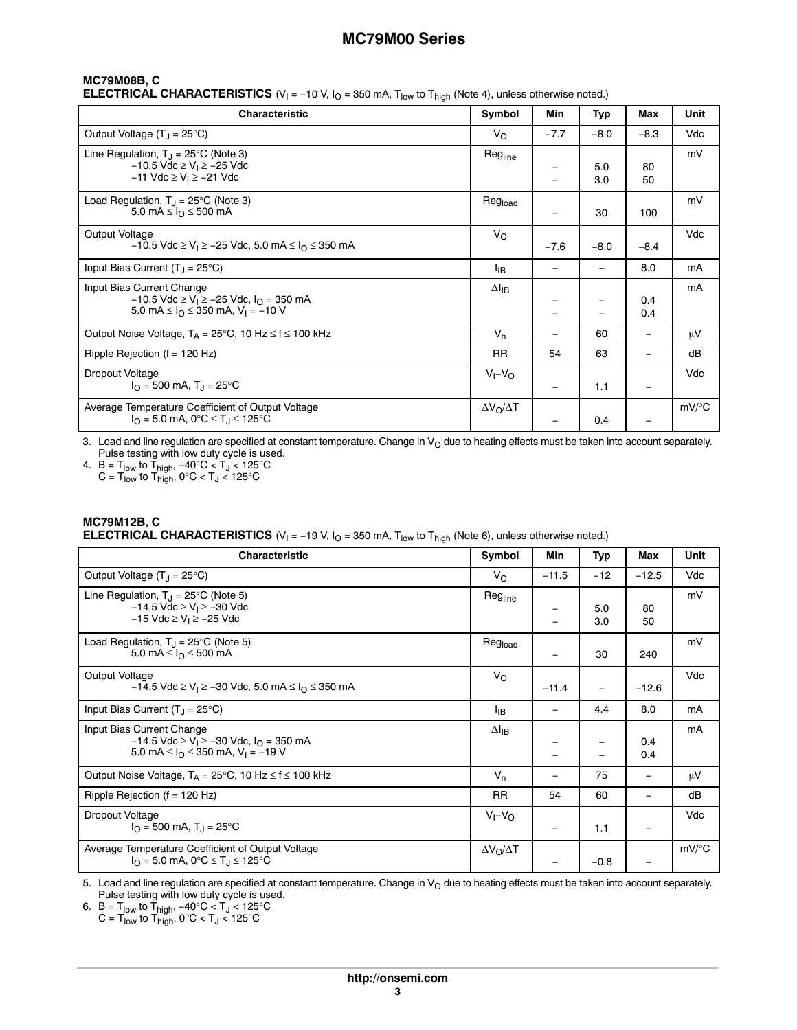## **MC79M08B, C**

**ELECTRICAL CHARACTERISTICS**  $(V_1 = -10 V, I_0 = 350 mA, T_{low}$  to  $T_{high}$  (Note 4), unless otherwise noted.)

| <b>Characteristic</b>                                                                                                                                                    | Symbol                | Min                      | Typ        | Max                      | Unit     |
|--------------------------------------------------------------------------------------------------------------------------------------------------------------------------|-----------------------|--------------------------|------------|--------------------------|----------|
| Output Voltage $(T_J = 25^{\circ}C)$                                                                                                                                     | $V_{\Omega}$          | $-7.7$                   | $-8.0$     | $-8.3$                   | Vdc      |
| Line Regulation, $T_{\rm J}$ = 25°C (Note 3)<br>$-10.5$ Vdc ≥ V <sub>1</sub> ≥ $-25$ Vdc<br>$-11$ Vdc ≥ V <sub>I</sub> ≥ $-21$ Vdc                                       | Regline               | $\equiv$                 | 5.0<br>3.0 | 80<br>50                 | mV       |
| Load Regulation, $T_{\rm J}$ = 25°C (Note 3)<br>5.0 mA $\leq$ $I_{\Omega}$ $\leq$ 500 mA                                                                                 | Reg <sub>load</sub>   | —                        | 30         | 100                      | mV       |
| Output Voltage<br>$-10.5$ Vdc ≥ V <sub>1</sub> ≥ $-25$ Vdc, 5.0 mA ≤ I <sub>O</sub> ≤ 350 mA                                                                             | $V_{\Omega}$          | $-7.6$                   | $-8.0$     | $-8.4$                   | Vdc      |
| Input Bias Current $(T_J = 25^{\circ}C)$                                                                                                                                 | <sup>I</sup> IB       |                          |            | 8.0                      | mA       |
| Input Bias Current Change<br>$-10.5$ Vdc $\geq$ V <sub>I</sub> $\geq$ -25 Vdc, I <sub>O</sub> = 350 mA<br>5.0 mA $\leq$ $I_{\Omega} \leq$ 350 mA, V <sub>1</sub> = -10 V | $\Delta I_{IB}$       |                          |            | 0.4<br>0.4               | mA       |
| Output Noise Voltage, $T_A = 25^{\circ}C$ , 10 Hz $\leq f \leq 100$ kHz                                                                                                  | $V_{n}$               | -                        | 60         | $\qquad \qquad$          | μV       |
| Ripple Rejection ( $f = 120$ Hz)                                                                                                                                         | <b>RR</b>             | 54                       | 63         |                          | dB       |
| Dropout Voltage<br>$I_{\Omega}$ = 500 mA, T <sub>J</sub> = 25 <sup>o</sup> C                                                                                             | $V_I - V_O$           | $\overline{\phantom{0}}$ | 1.1        | $\overline{\phantom{0}}$ | Vdc      |
| Average Temperature Coefficient of Output Voltage<br>$I_{\Omega}$ = 5.0 mA, 0°C $\leq$ T <sub>J</sub> $\leq$ 125°C                                                       | $\Delta V_O/\Delta T$ |                          | 0.4        |                          | $mV$ /°C |

3. Load and line regulation are specified at constant temperature. Change in  $V_O$  due to heating effects must be taken into account separately. Pulse testing with low duty cycle is used.

4.  $B = T_{\textsf{low}}$  to  $T_{\textsf{high}}$ , −40°C  $< T_{\textsf{J}} < 125$ °C

 $\textsf{C}$  =  $\textsf{T}_{\mathsf{low}}$  to  $\textsf{T}_{\mathsf{high}},$  0°C <  $\textsf{T}_{\mathsf{J}}$  < 125°C

### **MC79M12B, C ELECTRICAL CHARACTERISTICS** (V<sub>I</sub> = −19 V, I<sub>O</sub> = 350 mA, T<sub>low</sub> to T<sub>high</sub> (Note 6), unless otherwise noted.)

| <b>Characteristic</b>                                                                                                                                                    | Symbol                         | Min                      | Typ        | Max        | Unit     |
|--------------------------------------------------------------------------------------------------------------------------------------------------------------------------|--------------------------------|--------------------------|------------|------------|----------|
| Output Voltage $(T_J = 25^{\circ}C)$                                                                                                                                     | $V_{\Omega}$                   | $-11.5$                  | $-12$      | $-12.5$    | Vdc      |
| Line Regulation, $T_1 = 25^{\circ}C$ (Note 5)<br>$-14.5$ Vdc $\geq$ V <sub>I</sub> $\geq$ -30 Vdc<br>$-15$ Vdc $\geq$ V <sub>1</sub> $\geq$ -25 Vdc                      | $\mathsf{Reg}_{\mathsf{line}}$ |                          | 5.0<br>3.0 | 80<br>50   | mV       |
| Load Regulation, $T_{\rm J}$ = 25°C (Note 5)<br>5.0 mA ≤ $I_{\Omega}$ ≤ 500 mA                                                                                           | Reg <sub>load</sub>            |                          | 30         | 240        | mV       |
| Output Voltage<br>$-14.5$ Vdc $\geq$ V <sub>1</sub> $\geq$ -30 Vdc, 5.0 mA $\leq$ I <sub>O</sub> $\leq$ 350 mA                                                           | $V_{\Omega}$                   | $-11.4$                  |            | $-12.6$    | Vdc      |
| Input Bias Current $(T_1 = 25^{\circ}C)$                                                                                                                                 | <sup>I</sup> IB                | $\overline{\phantom{m}}$ | 4.4        | 8.0        | mA       |
| Input Bias Current Change<br>$-14.5$ Vdc $\geq$ V <sub>1</sub> $\geq$ -30 Vdc, $I_{\Omega}$ = 350 mA<br>5.0 mA $\leq$ $I_{\Omega}$ $\leq$ 350 mA, V <sub>1</sub> = -19 V |                                |                          |            | 0.4<br>0.4 | mA       |
| Output Noise Voltage, $T_A = 25^{\circ}C$ , 10 Hz $\leq f \leq 100$ kHz                                                                                                  |                                |                          | 75         |            | μV       |
| Ripple Rejection ( $f = 120$ Hz)                                                                                                                                         |                                | 54                       | 60         |            | dB       |
| Dropout Voltage<br>$I_{\Omega}$ = 500 mA, T <sub>J</sub> = 25 <sup>o</sup> C                                                                                             | $V_I - V_O$                    |                          | 1.1        |            | Vdc      |
| Average Temperature Coefficient of Output Voltage<br>$I_{\Omega}$ = 5.0 mA, 0°C $\leq$ T <sub>J</sub> $\leq$ 125°C                                                       |                                |                          | $-0.8$     |            | $mV$ /°C |

5. Load and line regulation are specified at constant temperature. Change in V<sub>O</sub> due to heating effects must be taken into account separately.<br>Pulse testing with low duty cycle is used.

6.  $B = T_{\sf low}$  to  $T_{\sf high}$ , −40°C <  $T_{\sf J}$  < 125°C

C = T<sub>low</sub> to T<sub>high</sub>, 0°C < T<sub>J</sub> < 125°C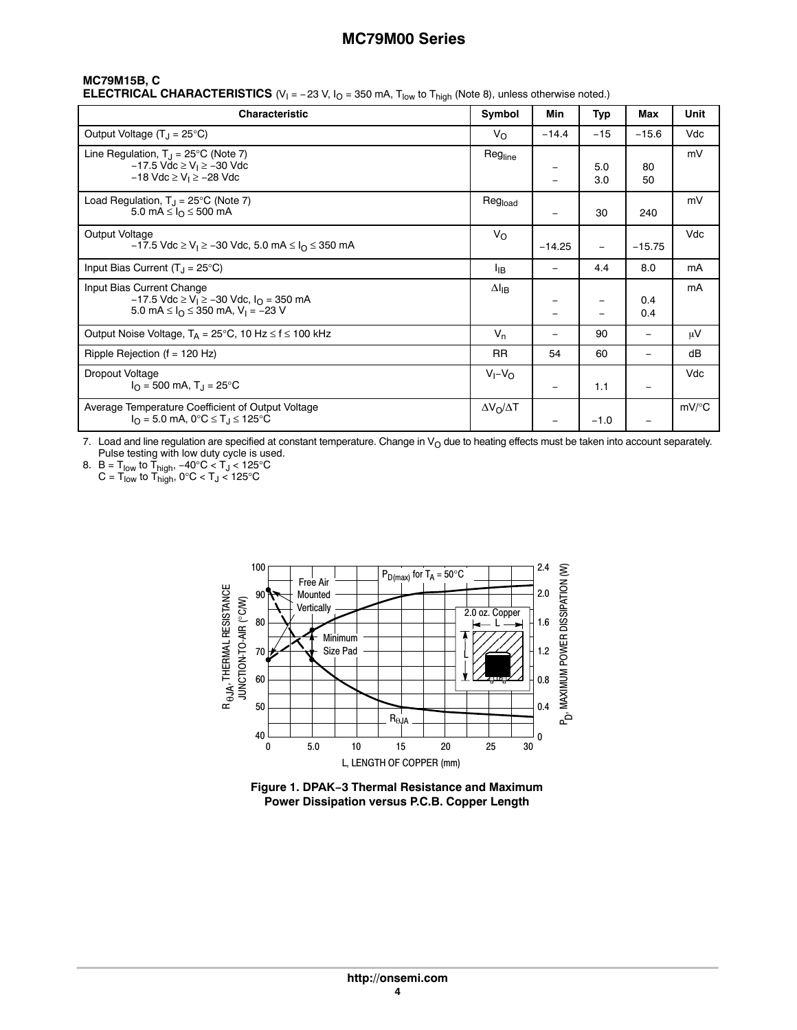## **MC79M15B, C**

**ELECTRICAL CHARACTERISTICS**  $(V_1 = -23 V, I_0 = 350 mA, T_{low}$  to  $T_{high}$  (Note 8), unless otherwise noted.)

| Characteristic                                                                                                                                                         | Symbol                | Min                      | Typ        | Max             | Unit     |
|------------------------------------------------------------------------------------------------------------------------------------------------------------------------|-----------------------|--------------------------|------------|-----------------|----------|
| Output Voltage $(T_J = 25^{\circ}C)$                                                                                                                                   | $V_{\Omega}$          | $-14.4$                  | $-15$      | $-15.6$         | Vdc      |
| Line Regulation, $T_J = 25^{\circ}C$ (Note 7)<br>$-17.5$ Vdc ≥ V <sub>I</sub> ≥ $-30$ Vdc<br>$-18$ Vdc ≥ V <sub>I</sub> ≥ $-28$ Vdc                                    | Regline               | —                        | 5.0<br>3.0 | 80<br>50        | mV       |
| Load Regulation, $T_{\rm J}$ = 25°C (Note 7)<br>5.0 mA ≤ $I_{\Omega}$ ≤ 500 mA                                                                                         | Reg <sub>load</sub>   | $\qquad \qquad \qquad$   | 30         | 240             | mV       |
| Output Voltage<br>$-17.5$ Vdc $\geq$ V <sub>1</sub> $\geq$ -30 Vdc, 5.0 mA $\leq$ I <sub>O</sub> $\leq$ 350 mA                                                         | $V_{\Omega}$          | $-14.25$                 |            | $-15.75$        | Vdc      |
| Input Bias Current $(T_J = 25^{\circ}C)$                                                                                                                               | ŀв                    | $\overline{\phantom{0}}$ | 4.4        | 8.0             | mA       |
| Input Bias Current Change<br>$-17.5$ Vdc $\geq$ V <sub>1</sub> $\geq$ -30 Vdc, $I_{\Omega}$ = 350 mA<br>5.0 mA $\leq$ $I_{\Omega} \leq$ 350 mA, V <sub>1</sub> = -23 V |                       |                          |            | 0.4<br>0.4      | mA       |
| Output Noise Voltage, $T_A = 25^{\circ}C$ , 10 Hz $\leq f \leq 100$ kHz                                                                                                | $V_{n}$               | —                        | 90         | $\qquad \qquad$ | μV       |
| Ripple Rejection ( $f = 120$ Hz)                                                                                                                                       | <b>RR</b>             | 54                       | 60         |                 | dB       |
| Dropout Voltage<br>$I_{\Omega}$ = 500 mA, T <sub>J</sub> = 25 <sup>o</sup> C                                                                                           | $V_I - V_O$           | $\overline{\phantom{0}}$ | 1.1        | $\qquad \qquad$ | Vdc      |
| Average Temperature Coefficient of Output Voltage<br>$I_{\Omega}$ = 5.0 mA, 0°C $\leq$ T <sub>J</sub> $\leq$ 125°C                                                     | $\Delta V_O/\Delta T$ |                          | $-1.0$     |                 | $mV$ /°C |

7. Load and line regulation are specified at constant temperature. Change in  $V<sub>O</sub>$  due to heating effects must be taken into account separately. Pulse testing with low duty cycle is used.

8.  $B = T_{\sf low}$  to  $T_{\sf high}$ , −40°C  $< T_{\sf J}$  < 125°C  $\textsf{C}$  =  $\textsf{T}_{\mathsf{low}}$  to  $\textsf{T}_{\mathsf{high}},$  0°C <  $\textsf{T}_{\mathsf{J}}$  < 125°C



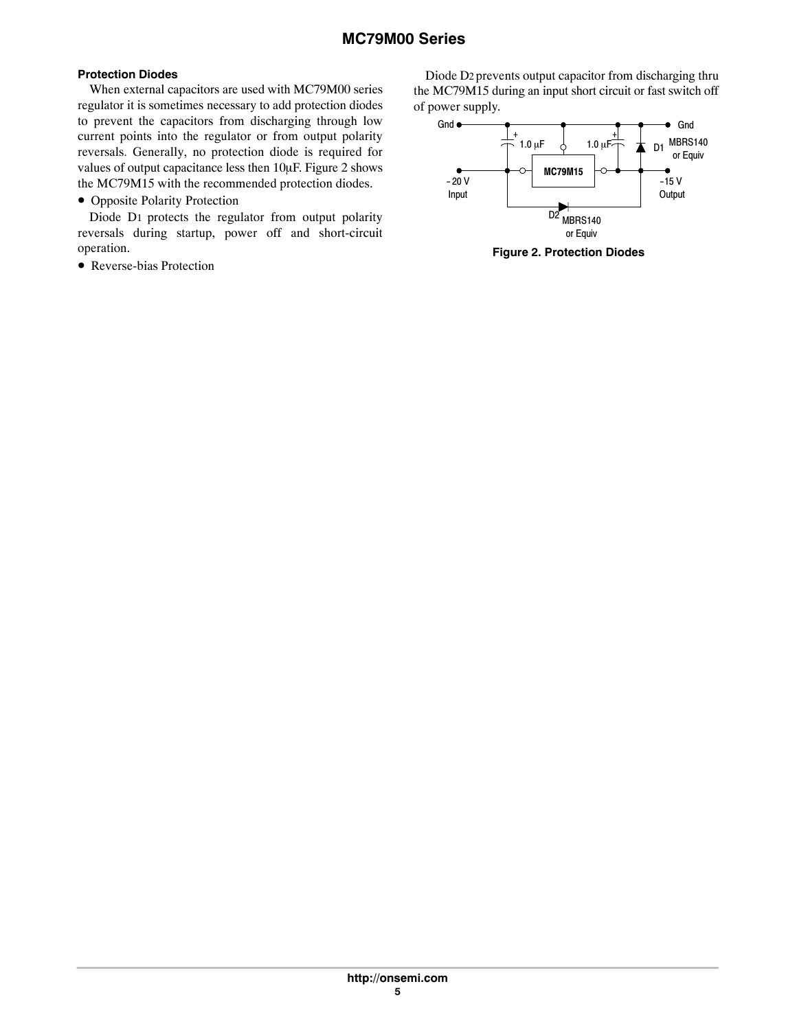## **Protection Diodes**

When external capacitors are used with MC79M00 series regulator it is sometimes necessary to add protection diodes to prevent the capacitors from discharging through low current points into the regulator or from output polarity reversals. Generally, no protection diode is required for values of output capacitance less then 10µF. Figure 2 shows the MC79M15 with the recommended protection diodes.

• Opposite Polarity Protection

Diode D1 protects the regulator from output polarity reversals during startup, power off and short-circuit operation.

• Reverse-bias Protection

Diode D2 prevents output capacitor from discharging thru the MC79M15 during an input short circuit or fast switch off of power supply.



**Figure 2. Protection Diodes**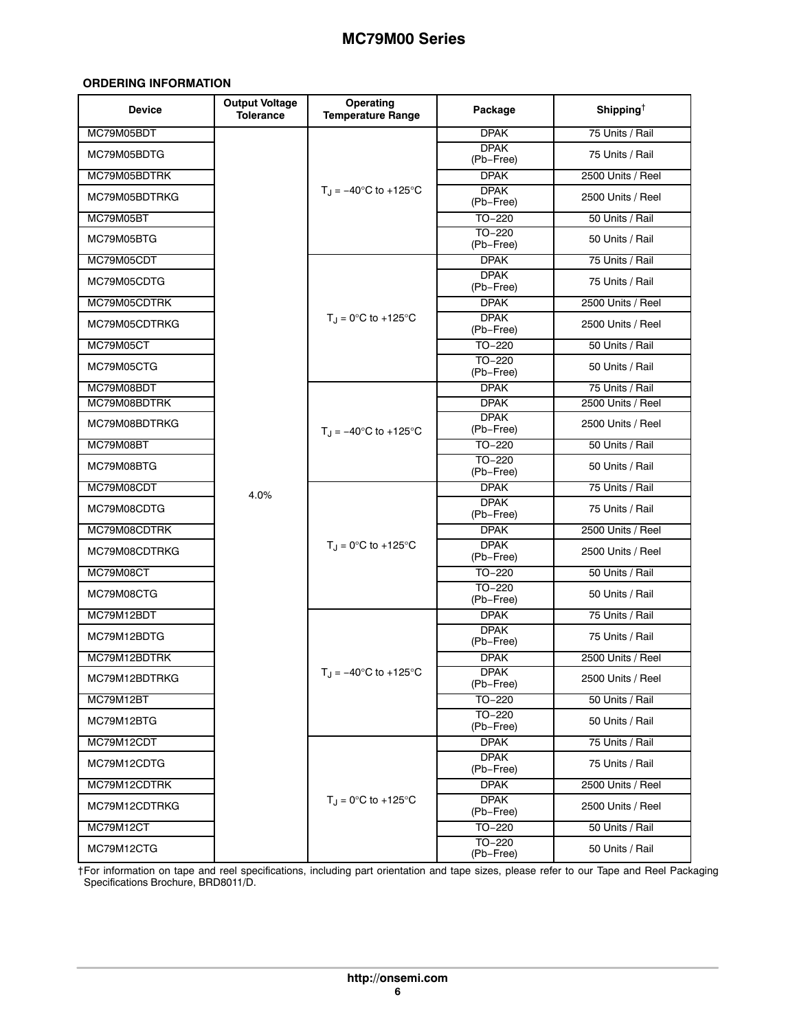#### <span id="page-5-0"></span>**ORDERING INFORMATION**

| <b>Device</b> | <b>Output Voltage</b><br><b>Tolerance</b> | Operating<br><b>Temperature Range</b>           | Package                  | Shipping <sup>†</sup> |
|---------------|-------------------------------------------|-------------------------------------------------|--------------------------|-----------------------|
| MC79M05BDT    |                                           |                                                 | <b>DPAK</b>              | 75 Units / Rail       |
| MC79M05BDTG   |                                           |                                                 | <b>DPAK</b><br>(Pb-Free) | 75 Units / Rail       |
| MC79M05BDTRK  |                                           |                                                 | <b>DPAK</b>              | 2500 Units / Reel     |
| MC79M05BDTRKG |                                           | $T_{\text{H}} = -40^{\circ} \text{C}$ to +125°C | <b>DPAK</b><br>(Pb-Free) | 2500 Units / Reel     |
| MC79M05BT     |                                           |                                                 | $TO-220$                 | 50 Units / Rail       |
| MC79M05BTG    |                                           |                                                 | TO-220<br>(Pb-Free)      | 50 Units / Rail       |
| MC79M05CDT    |                                           |                                                 | <b>DPAK</b>              | 75 Units / Rail       |
| MC79M05CDTG   |                                           |                                                 | <b>DPAK</b><br>(Pb-Free) | 75 Units / Rail       |
| MC79M05CDTRK  |                                           |                                                 | <b>DPAK</b>              | 2500 Units / Reel     |
| MC79M05CDTRKG |                                           | $T_J = 0^\circ C$ to +125 $^\circ C$            | <b>DPAK</b><br>(Pb-Free) | 2500 Units / Reel     |
| MC79M05CT     |                                           |                                                 | TO-220                   | 50 Units / Rail       |
| MC79M05CTG    |                                           |                                                 | $TO-220$<br>(Pb-Free)    | 50 Units / Rail       |
| MC79M08BDT    |                                           |                                                 | <b>DPAK</b>              | 75 Units / Rail       |
| MC79M08BDTRK  |                                           |                                                 | <b>DPAK</b>              | 2500 Units / Reel     |
| MC79M08BDTRKG |                                           | $T_1 = -40^{\circ}$ C to +125°C                 | <b>DPAK</b><br>(Pb-Free) | 2500 Units / Reel     |
| MC79M08BT     |                                           |                                                 | $TO-220$                 | 50 Units / Rail       |
| MC79M08BTG    |                                           |                                                 | $TO-220$<br>(Pb-Free)    | 50 Units / Rail       |
| MC79M08CDT    | 4.0%                                      |                                                 | <b>DPAK</b>              | 75 Units / Rail       |
| MC79M08CDTG   |                                           |                                                 | <b>DPAK</b><br>(Pb-Free) | 75 Units / Rail       |
| MC79M08CDTRK  |                                           |                                                 | <b>DPAK</b>              | 2500 Units / Reel     |
| MC79M08CDTRKG |                                           | $T_{\text{H}} = 0^{\circ}C$ to +125°C           | <b>DPAK</b><br>(Pb-Free) | 2500 Units / Reel     |
| MC79M08CT     |                                           |                                                 | TO-220                   | 50 Units / Rail       |
| MC79M08CTG    |                                           |                                                 | TO-220<br>(Pb-Free)      | 50 Units / Rail       |
| MC79M12BDT    |                                           |                                                 | <b>DPAK</b>              | 75 Units / Rail       |
| MC79M12BDTG   |                                           |                                                 | <b>DPAK</b><br>(Pb-Free) | 75 Units / Rail       |
| MC79M12BDTRK  |                                           |                                                 | <b>DPAK</b>              | 2500 Units / Reel     |
| MC79M12BDTRKG |                                           | $T_J = -40$ °C to +125°C                        | <b>DPAK</b><br>(Pb-Free) | 2500 Units / Reel     |
| MC79M12BT     |                                           |                                                 | $TO-220$                 | 50 Units / Rail       |
| MC79M12BTG    |                                           |                                                 | $TO-220$<br>(Pb-Free)    | 50 Units / Rail       |
| MC79M12CDT    |                                           |                                                 | <b>DPAK</b>              | 75 Units / Rail       |
| MC79M12CDTG   |                                           |                                                 | <b>DPAK</b><br>(Pb-Free) | 75 Units / Rail       |
| MC79M12CDTRK  |                                           |                                                 | <b>DPAK</b>              | 2500 Units / Reel     |
| MC79M12CDTRKG |                                           | $T_{\text{H}} = 0^{\circ}C$ to +125°C           | <b>DPAK</b><br>(Pb-Free) | 2500 Units / Reel     |
| MC79M12CT     |                                           |                                                 | $TO-220$                 | 50 Units / Rail       |
| MC79M12CTG    |                                           |                                                 | $TO-220$<br>(Pb-Free)    | 50 Units / Rail       |

†For information on tape and reel specifications, including part orientation and tape sizes, please refer to our Tape and Reel Packaging Specifications Brochure, BRD8011/D.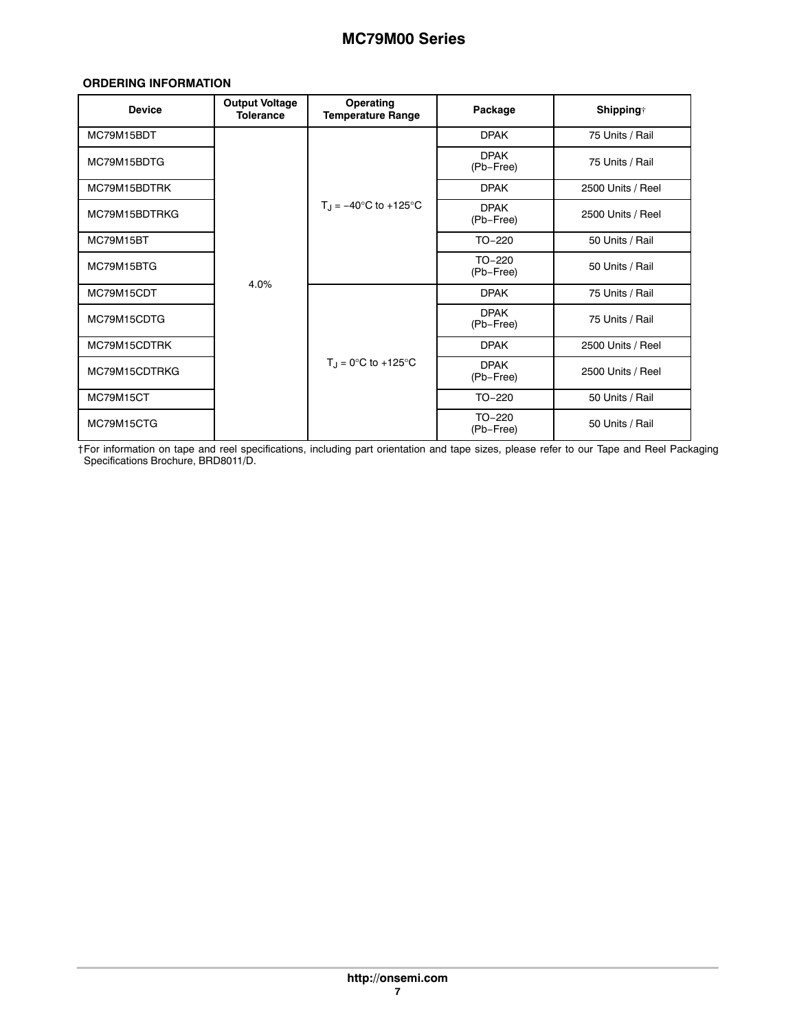#### **ORDERING INFORMATION**

| <b>Device</b> | <b>Output Voltage</b><br><b>Tolerance</b> | Operating<br><b>Temperature Range</b> | Package                  | <b>Shipping</b> † |
|---------------|-------------------------------------------|---------------------------------------|--------------------------|-------------------|
| MC79M15BDT    |                                           |                                       | <b>DPAK</b>              | 75 Units / Rail   |
| MC79M15BDTG   |                                           |                                       | <b>DPAK</b><br>(Pb-Free) | 75 Units / Rail   |
| MC79M15BDTRK  |                                           |                                       | <b>DPAK</b>              | 2500 Units / Reel |
| MC79M15BDTRKG |                                           | $T_{\rm d} = -40^{\circ}$ C to +125°C | <b>DPAK</b><br>(Pb-Free) | 2500 Units / Reel |
| MC79M15BT     |                                           |                                       | $TO-220$                 | 50 Units / Rail   |
| MC79M15BTG    |                                           |                                       | $TO-220$<br>(Pb-Free)    | 50 Units / Rail   |
| MC79M15CDT    | 4.0%                                      |                                       | <b>DPAK</b>              | 75 Units / Rail   |
| MC79M15CDTG   |                                           |                                       | <b>DPAK</b><br>(Pb-Free) | 75 Units / Rail   |
| MC79M15CDTRK  |                                           |                                       | <b>DPAK</b>              | 2500 Units / Reel |
| MC79M15CDTRKG |                                           | $T_{\rm J}$ = 0°C to +125°C           | <b>DPAK</b><br>(Pb-Free) | 2500 Units / Reel |
| MC79M15CT     |                                           |                                       | $TO-220$                 | 50 Units / Rail   |
| MC79M15CTG    |                                           |                                       | $TO-220$<br>(Pb-Free)    | 50 Units / Rail   |

†For information on tape and reel specifications, including part orientation and tape sizes, please refer to our Tape and Reel Packaging Specifications Brochure, BRD8011/D.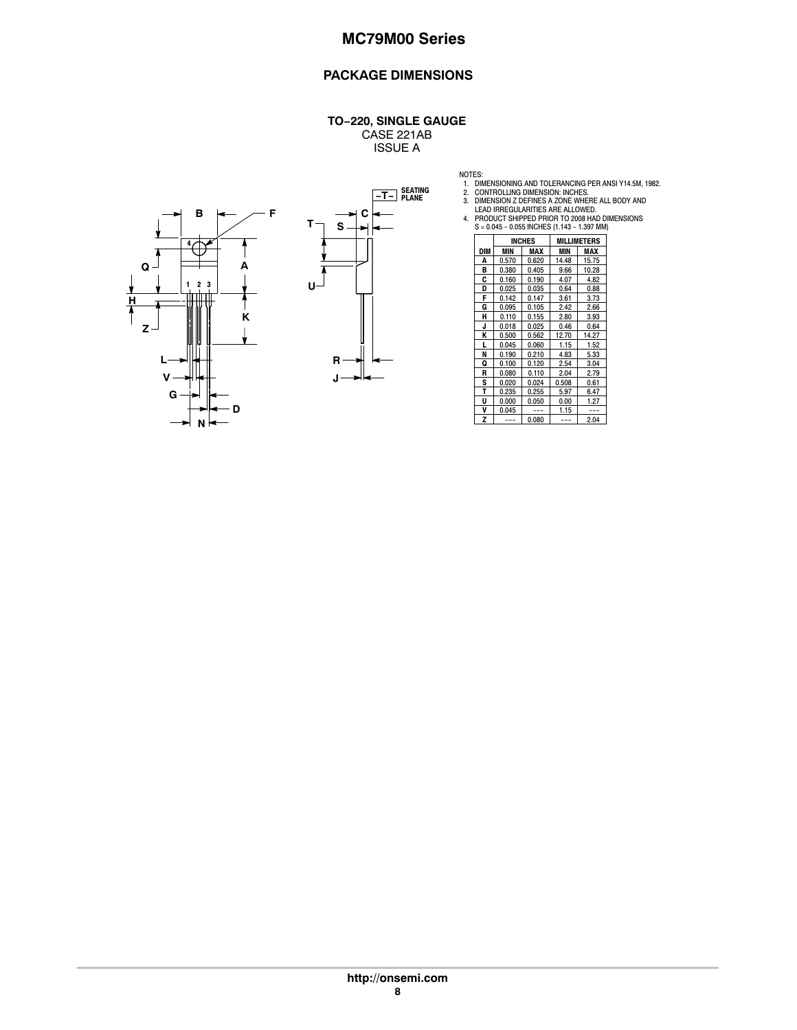## **PACKAGE DIMENSIONS**

#### **TO−220, SINGLE GAUGE** CASE 221AB

ISSUE A





- 
- 
- 
- NOTES:<br>
1. DIMENSIONING AND TOLERANCING PER ANSI Y14.5M, 1982<br>
2. CONTROLLING DIMENSION: INCHES.<br>
3. DIMENSION Z DEFINES ARE ALLOWED.<br>
LEAD IRREGULARITIES ARE ALLOWED.<br>
4. PRODUCT SHIPPED PRIOR TO 2008 HAD DIMENSIONS<br>
5 =

|     | <b>INCHES</b> |       |       | <b>MILLIMETERS</b> |
|-----|---------------|-------|-------|--------------------|
| DIM | MIN           | MAX   | MIN   | MAX                |
| Α   | 0.570         | 0.620 | 14.48 | 15.75              |
| B   | 0.380         | 0.405 | 9.66  | 10.28              |
| C   | 0.160         | 0.190 | 4.07  | 4.82               |
| D   | 0.025         | 0.035 | 0.64  | 0.88               |
| F   | 0.142         | 0.147 | 3.61  | 3.73               |
| G   | 0.095         | 0.105 | 2.42  | 2.66               |
| н   | 0.110         | 0.155 | 2.80  | 3.93               |
| J   | 0.018         | 0.025 | 0.46  | 0.64               |
| K   | 0.500         | 0.562 | 12.70 | 14.27              |
| L   | 0.045         | 0.060 | 1.15  | 1.52               |
| N   | 0.190         | 0.210 | 4.83  | 5.33               |
| Q   | 0.100         | 0.120 | 2.54  | 3.04               |
| R   | 0.080         | 0.110 | 2.04  | 2.79               |
| S   | 0.020         | 0.024 | 0.508 | 0.61               |
| Т   | 0.235         | 0.255 | 5.97  | 6.47               |
| U   | 0.000         | 0.050 | 0.00  | 1.27               |
| ٧   | 0.045         |       | 1.15  |                    |
| Z   |               | 0.080 |       | 2.04               |